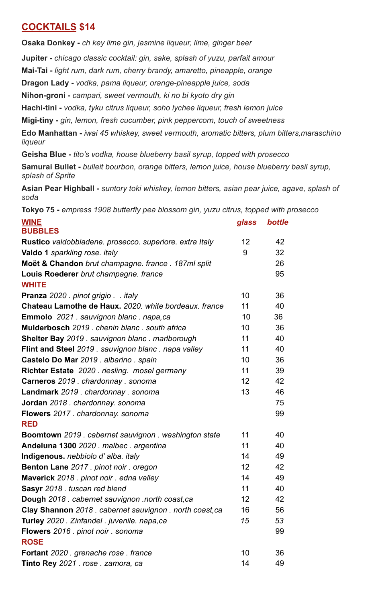## **COCKTAILS \$14**

**Osaka Donkey -** *ch key lime gin, jasmine liqueur, lime, ginger beer*

**Jupiter -** *chicago classic cocktail: gin, sake, splash of yuzu, parfait amour*

**Mai-Tai -** *light rum, dark rum, cherry brandy, amaretto, pineapple, orange*

**Dragon Lady -** *vodka, pama liqueur, orange-pineapple juice, soda*

**Nihon-groni -** *campari, sweet vermouth, ki no bi kyoto dry gin*

**Hachi-tini -** *vodka, tyku citrus liqueur, soho lychee liqueur, fresh lemon juice*

**Migi-tiny -** *gin, lemon, fresh cucumber, pink peppercorn, touch of sweetness*

**Edo Manhattan -** *iwai 45 whiskey, sweet vermouth, aromatic bitters, plum bitters,maraschino liqueur*

**Geisha Blue -** *tito's vodka, house blueberry basil syrup, topped with prosecco*

**Samurai Bullet -** *bulleit bourbon, orange bitters, lemon juice, house blueberry basil syrup, splash of Sprite*

**Asian Pear Highball -** *suntory toki whiskey, lemon bitters, asian pear juice, agave, splash of soda*

**Tokyo 75 -** *empress 1908 butterfly pea blossom gin, yuzu citrus, topped with prosecco*

| <b>WINE</b>                                             | glass             | bottle |
|---------------------------------------------------------|-------------------|--------|
| <b>BUBBLES</b>                                          |                   |        |
| Rustico valdobbiadene. prosecco. superiore. extra Italy | 12                | 42     |
| Valdo 1 sparkling rose. italy                           | 9                 | 32     |
| Moët & Chandon brut champagne. france . 187ml split     |                   | 26     |
| Louis Roederer brut champagne. france                   |                   | 95     |
| <b>WHITE</b>                                            |                   |        |
| Pranza 2020 . pinot grigio italy                        | 10                | 36     |
| Chateau Lamothe de Haux. 2020. white bordeaux. france   | 11                | 40     |
| Emmolo 2021 . sauvignon blanc . napa, ca                | 10                | 36     |
| Mulderbosch 2019 . chenin blanc . south africa          | 10                | 36     |
| Shelter Bay 2019 . sauvignon blanc . marlborough        | 11                | 40     |
| Flint and Steel 2019 . sauvignon blanc . napa valley    | 11                | 40     |
| Castelo Do Mar 2019 . albarino . spain                  | 10                | 36     |
| Richter Estate 2020 . riesling. mosel germany           | 11                | 39     |
| Carneros 2019 . chardonnay . sonoma                     | 12 <sup>2</sup>   | 42     |
| Landmark 2019 . chardonnay . sonoma                     | 13                | 46     |
| Jordan 2018 . chardonnay. sonoma                        |                   | 75     |
| Flowers 2017 . chardonnay. sonoma                       |                   | 99     |
| <b>RED</b>                                              |                   |        |
| Boomtown 2019 . cabernet sauvignon . washington state   | 11                | 40     |
| Andeluna 1300 2020 . malbec . argentina                 | 11                | 40     |
| Indigenous. nebbiolo d'alba. italy                      | 14                | 49     |
| Benton Lane 2017. pinot noir. oregon                    | $12 \overline{ }$ | 42     |
| Maverick 2018 . pinot noir . edna valley                | 14                | 49     |
| Sasyr 2018. tuscan red blend                            | 11                | 40     |
| Dough 2018 . cabernet sauvignon .north coast, ca        | 12                | 42     |
| Clay Shannon 2018. cabernet sauvignon. north coast, ca  | 16                | 56     |
| Turley 2020 . Zinfandel . juvenile. napa,ca             | 15                | 53     |
| Flowers 2016 . pinot noir . sonoma                      |                   | 99     |
| <b>ROSE</b>                                             |                   |        |
| Fortant 2020 . grenache rose . france                   | 10                | 36     |
| Tinto Rey 2021 . rose . zamora, ca                      | 14                | 49     |
|                                                         |                   |        |